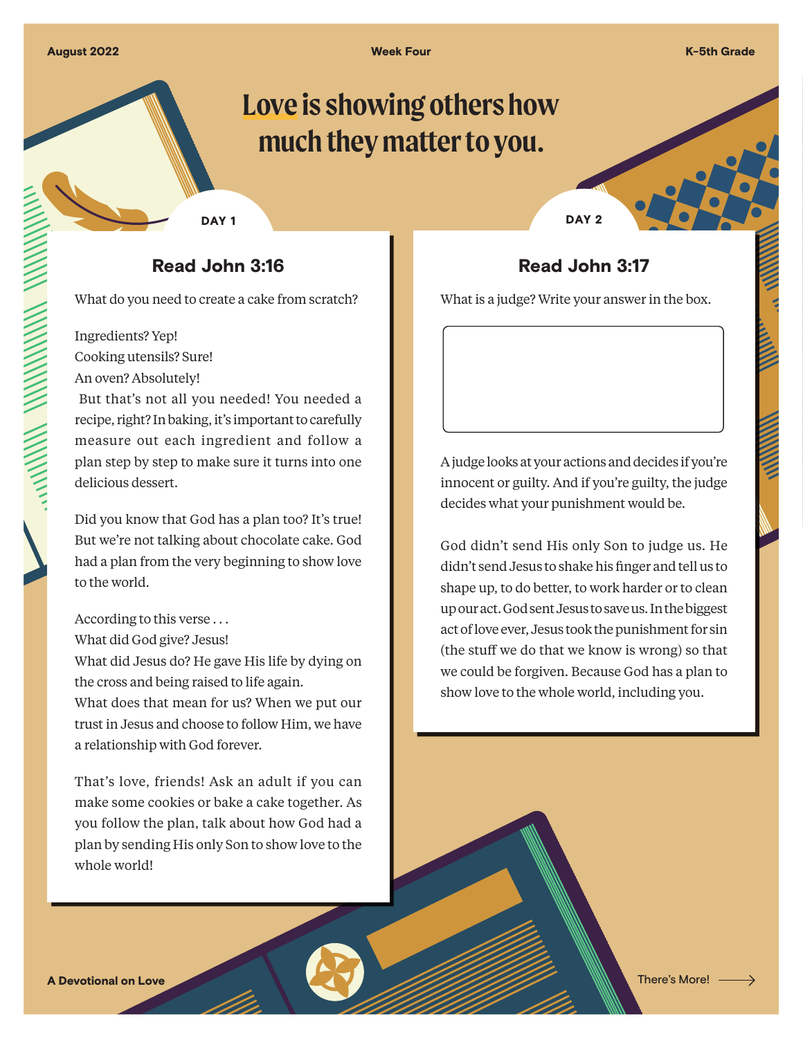**Week Four K-5th Grade** 

# **Love is showing others how much they matter to you.**

DAY<sub>1</sub>

### Read John 3:16

What do you need to create a cake from scratch?

Ingredients? Yep! Cooking utensils? Sure!

An oven? Absolutely!

 But that's not all you needed! You needed a recipe, right? In baking, it's important to carefully measure out each ingredient and follow a plan step by step to make sure it turns into one delicious dessert.

Did you know that God has a plan too? It's true! But we're not talking about chocolate cake. God had a plan from the very beginning to show love to the world.

According to this verse . . .

What did God give? Jesus!

What did Jesus do? He gave His life by dying on the cross and being raised to life again.

What does that mean for us? When we put our trust in Jesus and choose to follow Him, we have a relationship with God forever.

That's love, friends! Ask an adult if you can make some cookies or bake a cake together. As you follow the plan, talk about how God had a plan by sending His only Son to show love to the whole world!

DAY<sub>2</sub>

## Read John 3:17

What is a judge? Write your answer in the box.

A judge looks at your actions and decides if you're innocent or guilty. And if you're guilty, the judge decides what your punishment would be.

God didn't send His only Son to judge us. He didn't send Jesus to shake his finger and tell us to shape up, to do better, to work harder or to clean up our act. God sent Jesus to save us. In the biggest act of love ever, Jesus took the punishment for sin (the stuff we do that we know is wrong) so that we could be forgiven. Because God has a plan to show love to the whole world, including you.

A Devotional on Love